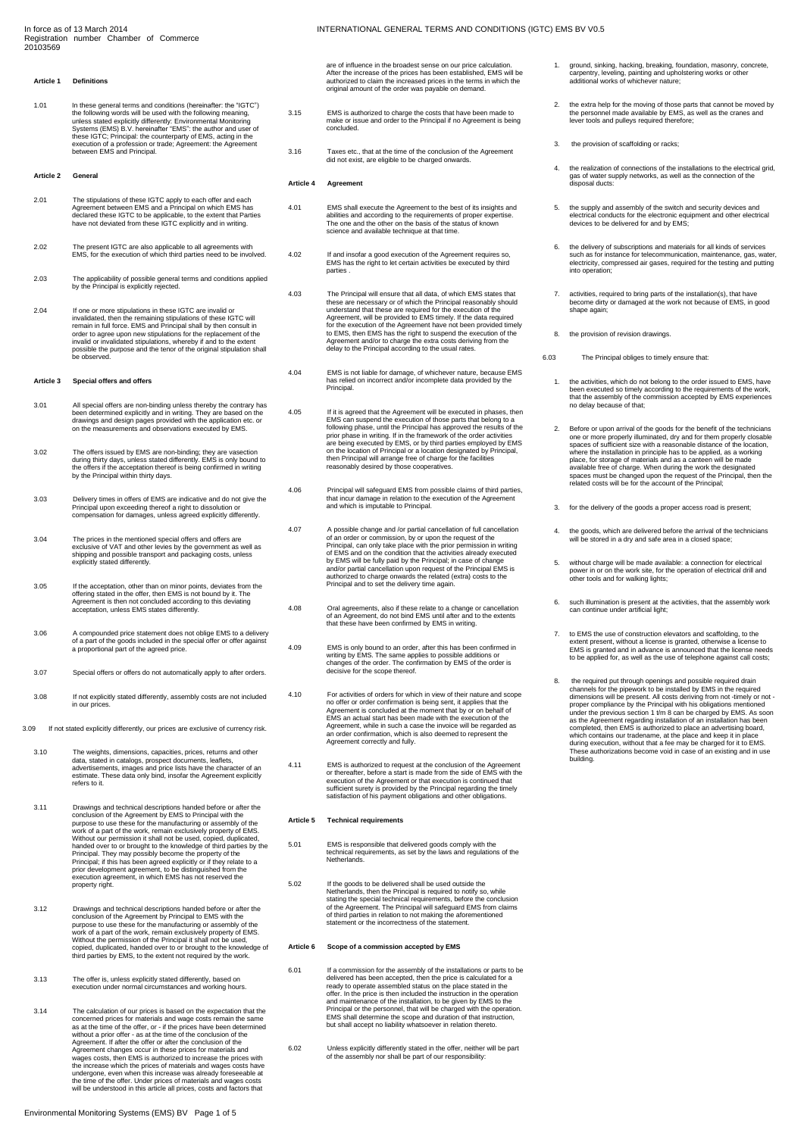#### **Article 1 Definitions**

1.01 In these general terms and conditions (hereinafter: the "IGTC")<br>the following words will be used with the following meaning,<br>unless stated explicitly differently: Environmental Monitoring<br>Systems (EMS) B.V. hereinafte

# **Article 2 General**

- 2.01 The stipulations of these IGTC apply to each offer and each<br>Agreement between EMS and a Principal on which EMS has<br>declared these IGTC to be applicable, to the extent that Parties<br>have not deviated from these IGTC exp
- 2.02 The present IGTC are also applicable to all agreements with EMS, for the execution of which third parties need to be involved.
- 2.03 The applicability of possible general terms and conditions applied by the Principal is explicitly rejected.
- 2.04 If one or more stipulations in these IGTC are invalid or<br>invalidated, then the remaining stipulations of these IGTC will<br>remain in full force. EMS and Principal shall by then consult in<br>order to agree upon new stipula be observed.

#### **Article 3 Special offers and offers**

- 3.01 All special offers are non-binding unless thereby the contrary has<br>been determined explicitly and in writing. They are based on the<br>drawings and design pages provided with the application etc. or<br>on the measurements a
- 3.02 The offers issued by EMS are non-binding; they are vasection during thirty days, unless stated differently. EMS is only bound to the offers if the acceptation thereof is being confirmed in writing by the Principal within thirty days.
- 3.03 Delivery times in offers of EMS are indicative and do not give the Principal upon exceeding thereof a right to dissolution or compensation for damages, unless agreed explicitly differently.
- 3.04 The prices in the mentioned special offers and offers are exclusive of VAT and other levies by the government as well as shipping and possible transport and packaging costs, unless explicitly stated differently.
- 3.05 If the acceptation, other than on minor points, deviates from the offering stated in the offer, then EMS is not bound by it. The Agreement is then not concluded according to this deviating acceptation, unless EMS stat
- 3.06 A compounded price statement does not oblige EMS to a delivery of a part of the goods included in the special offer or offer against a proportional part of the agreed price.
- 3.07 Special offers or offers do not automatically apply to after orders.
- 3.08 If not explicitly stated differently, assembly costs are not included in our prices.
- 3.09 If not stated explicitly differently, our prices are exclusive of currency risk.
- 3.10 The weights, dimensions, capacities, prices, returns and other<br>data, stated in catalogs, prospect documents, leaflets,<br>advertisements, images and price lists have the character of an<br>estimate. These data only bind, in <del>c</del>ourrate.<br>refers to i
- 3.11 Drawings and technical descriptions handed before or after the conclusion of the Agreement by EMS to Principal with the purpose to use these for the manufacturing or assembly of the work of a part of the work, remain exclusively property of EMS. Without our permission it shall not be used, copied, duplicated, handed over to or brought to the knowledge of third parties by the<br>Principal. They may possibly become the property of the<br>Principal; if this has been agreed explicitly or if they relate to a<br>prior development agreement, t
- 3.12 Drawings and technical descriptions handed before or after the conolusion of the Agreement by Principal to EMS with the purpose to use these for the manufacturing or assembly of the work of a part of the work, remain copied, duplicated, handed over to or brought to the knowledge of third parties by EMS, to the extent not required by the work.
- 3.13 The offer is, unless explicitly stated differently, based on execution under normal circumstances and working hours.
- 3.14 The calculation of our prices is based on the expectation that the concerned prices for materials and wage costs remain the same<br>as at the time of the offer, or - if the prices have been determined<br>without a prior offer - as at the time of the conclusion of the<br>Agreement. If after the off Agreement changes occur in these prices for materials and wages costs, then EMS is authorized to increase the prices with the increase which the prices of materials and wages costs have<br>undergone, even when this increase was already foreseeable at<br>the time of the offer. Under prices of materials and wages costs<br>will be understood in this arti

are of influence in the broadest sense on our price calculation. After the increase of the prices has been established, EMS will be authorized to claim the increased prices in the terms in which the original amount of the order was payable on demand.

- 3.15 EMS is authorized to charge the costs that have been made to make or issue and order to the Principal if no Agreement is being concluded.
- 3.16 Taxes etc., that at the time of the conclusion of the Agreement did not exist, are eligible to be charged onwards.

# **Article 4 Agreement**

- 4.01 EMS shall execute the Agreement to the best of its insights and abilities and according to the requirements of proper expertise.<br>The one and the other on the basis of the status of known<br>science and available techniqu
- 4.02 If and insofar a good execution of the Agreement requires so, EMS has the right to let certain activities be executed by third parties .
- 4.03 The Principal will ensure that all data, of which EMS states that<br>these are necessary or of which the Principal reasonably should<br>understand that these are required for the execution of the<br>Agreement, will be provided
- 4.04 EMS is not liable for damage, of whichever nature, because EMS has relied on incorrect and/or incomplete data provided by the Principal.
- 4.05 If it is agreed that the Agreement will be executed in phases, then EMS can suspend the execution of those parts that belong to a following phase, until the Principal has approved the results of the prior phase in wri
- 4.06 Principal will safeguard EMS from possible claims of third parties, that incur damage in relation to the execution of the Agreement and which is imputable to Principal.
- 4.07 A possible change and /or partial cancellation of full cancellation<br>of an order or commission, by or upon the request of the<br>micripal, can only take place with the prior permission in writing<br>of EMS and on the conditi
- 4.08 Oral agreements, also if these relate to a change or cancellation of an Agreement, do not bind EMS until after and to the extents that these have been confirmed by EMS in writing.
- 4.09 EMS is only bound to an order, after this has been confirmed in writing by EMS. The same applies to possible additions or changes of the order. The confirmation by EMS of the order is decisive for the scope thereof.
- 4.10 For activities of orders for which in view of their nature and scope no offer or order confirmation is being sent, it applies that the Agreement is concluded at the moment that by or on behalf of EMS an actual start has been made with the execution of the Agreement, while in such a case the invoice will be regarded as an order confirmation, which is also deemed to represent the Agreement correctly and fully.
- 4.11 EMS is authorized to request at the conclusion of the Agreement<br>or thereatier, before a start is made from the side of EMS with the<br>execution of the Agreement or that execution is continued that<br>sufficient surety is p satisfaction of his payment obligations and other obligations.

#### **Article 5 Technical requirements**

- 5.01 EMS is responsible that delivered goods comply with the technical requirements, as set by the laws and regulations of the Netherlands.
- 5.02 If the goods to be delivered shall be used outside the Netherlands, then the Principal is required to notify so, while stating the special technical requirements, before the conclusion<br>of the Agreement. The Principal will safeguard EMS from claims<br>of third parties in relation to not making the aforementioned<br>statement or the incorrectness

# **Article 6 Scope of a commission accepted by EMS**

- 6.01 If a commission for the assembly of the installations or parts to be delivered has been accepted, then the price is calculated for a ready to operate assembled status on the place stated in the offer. In the price is then included the instruction in the operation and maintenance of the installation, to be given by EMS to the<br>Principal or the personnel, that will be charged with the operation.<br>EMS shall determine the scope and duration of that instruction,<br>but shall accept no liabil
- 6.02 Unless explicitly differently stated in the offer, neither will be part of the assembly nor shall be part of our responsibility:
- 1. ground, sinking, hacking, breaking, foundation, masonry, concrete, carpentry, leveling, painting and upholstering works or other additional works of whichever nature;
- 2. the extra help for the moving of those parts that cannot be moved by<br>the personnel made available by EMS, as well as the cranes and<br>lever tools and pulleys required therefore;
- the provision of scaffolding or racks
- 4. the realization of connections of the installations to the electrical grid, gas of water supply networks, as well as the connection of the disposal ducts:
- 5. the supply and assembly of the switch and security devices and electrical conducts for the electronic equipment and other electrical devices to be delivered for and by EMS;
- 6. the delivery of subscriptions and materials for all kinds of services such as for instance for telecommunication, maintenance, gas, water, electricity, compressed air gases, required for the testing and putting into operation;
- 7. activities, required to bring parts of the installation(s), that have become dirty or damaged at the work not because of EMS, in good shape agai
- 8. the provision of revision drawings.
- 6.03 The Principal obliges to timely ensure that:
	- 1. the activities, which do not belong to the order issued to EMS, have<br>been executed so timely according to the requirements of the work,<br>that the assembly of the commission accepted by EMS experiences<br>no delay because of
	- 2. Before or upon arrival of the goods for the benefit of the technicians one or more properly illuminated, dry and for them properly closable spaces of sufficient size with a reasonable distance of the location, where the installation in principle has to be applied, as a working place, for storage of materials and as a canteen will be made available free of charge. When during the work the designated spaces must be changed upon the request of the Principal, then the related costs will be for the account of the Principal;
	- 3. for the delivery of the goods a proper access road is present;
	- 4. the goods, which are delivered before the arrival of the technicians will be stored in a dry and safe area in a closed space;
	- 5. without charge will be made available: a connection for electrical<br>power in or on the work site, for the operation of electrical drill and<br>other tools and for walking lights;
	- 6. such illumination is present at the activities, that the assembly work can continue under artificial light;
	- to EMS the use of construction elevators and scaffolding, to the extent present, without a license is granted, otherwise a license to EMS is granted and in advance is announced that the license needs to be applied for, as well as the use of telephone against call costs;
	- 8. the required put through openings and possible required drain<br>channels for the piework to be installed by EMS in the required<br>dimensions will be present. All costs deriving from not -timely or not-<br>proper compliance by which contains our tradename, at the place and keep it in place<br>during execution, without that a fee may be charged for it to EMS.<br>These authorizations become void in case of an existing and in use building.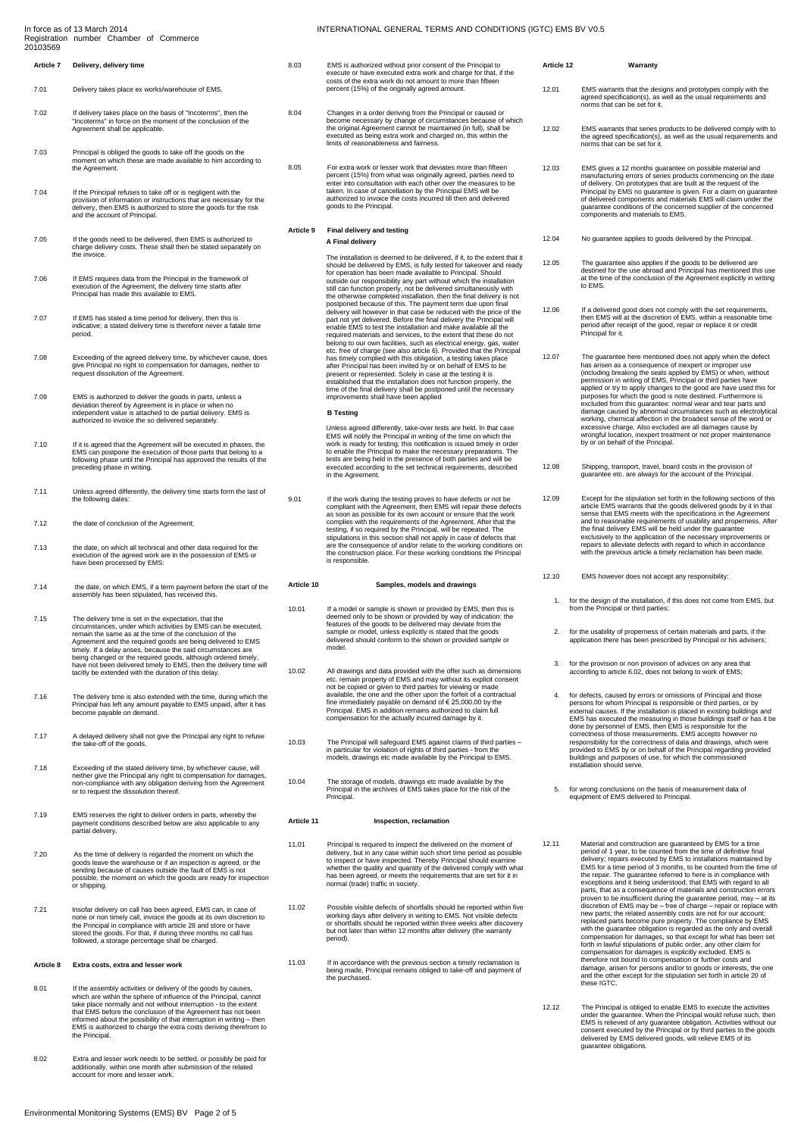#### In force as of 13 March 2014 Registration number Chamber of Commerce 20103569

# **Article 7 Delivery, delivery time**

- 7.01 Delivery takes place ex works/warehouse of EMS.
- 7.02 If delivery takes place on the basis of "Incoterms", then the "Incoterms" in force on the moment of the conclusion of the Agreement shall be applicable.
- 7.03 Principal is obliged the goods to take off the goods on the moment on which these are made available to him according to the Agreement.
- T.04 If the Principal refuses to take off or is negligent with the<br>provision of information or instructions that are necessary for the<br>delivery, then EMS is authorized to store the goods for the risk<br>and the account of Pri
- 7.05 If the goods need to be delivered, then EMS is authorized to charge delivery costs. These shall then be stated separately on the invoice.
- 7.06 If EMS requires data from the Principal in the framework of execution of the Agreement, the delivery time starts after Principal has made this available to EMS.
- 7.07 If EMS has stated a time period for delivery, then this is indicative; a stated delivery time is therefore never a fatale time period.
- 7.08 Exceeding of the agreed delivery time, by whichever cause, does give Principal no right to compensation for damages, neither to request dissolution of the Agreement.
- 7.09 EMS is authorized to deliver the goods in parts, unless a deviation thereof by Agreement is in place or when no<br>independent value is attached to de partial delivery. EMS is<br>authorized to invoice the so delivered separ
- 7.10 If it is agreed that the Agreement will be executed in phases, the EMS can postpone the execution of those parts that belong to a following phase until the Principal has approved the results of the preceding phase in writing.
- 7.11 Unless agreed differently, the delivery time starts form the last of the following dates:
- 7.12 the date of conclusion of the Agreement;
- 7.13 the date, on which all technical and other data required for the execution of the agreed work are in the possession of EMS or have been processed by EMS:
- 7.14 the date, on which EMS, if a term payment before the start of the assembly has been stipulated, has received this.
- 7.15 The delivery time is set in the expectation, that the<br>circumstances, under which activities by EMS can be executed,<br>remain the same as at the time of the conclusion of the<br>Agreement and the required goods are being de
- 7.16 The delivery time is also extended with the time, during which the Principal has left any amount payable to EMS unpaid, after it has become payable on demand.
- 7.17 A delayed delivery shall not give the Principal any right to refuse the take-off of the goods.
- 7.18 Exceeding of the stated delivery time, by whichever cause, will<br>neither give the Principal any right to compensation for damages,<br>non-compliance with any obligation deriving from the Agreement<br>or to request the dissol
- 7.19 EMS reserves the right to deliver orders in parts, whereby the payment conditions described below are also applicable to any partial delivery.
- 7.20 As the time of delivery is regarded the moment on which the<br>goods leave the warehouse or if an inspection is agreed, or the<br>sending because of causes outside the fault of EMS is not<br>possible, the moment on which the g or shipping.
- 7.21 Insofar delivery on call has been agreed, EMS can, in case of none or non timely call, invoice the goods at its own discretion to the Principal in compliance with article 28 and store or have stored the goods. For that, if during three months no call has followed, a storage percentage shall be charged.

# **Article 8 Extra costs, extra and lesser work**

- 8.01 If the assembly activities or delivery of the goods by causes,<br>which are within the sphere of influence of the Principal, cannot<br>take place normally and not without interruption to the extent<br>that EMS before the con the Principal.
- 8.02 Extra and lesser work needs to be settled, or possibly be paid for additionally, within one month after submission of the related account for more and lesser work.

# INTERNATIONAL GENERAL TERMS AND CONDITIONS (IGTC) EMS BV V0.5

- 8.03 EMS is authorized without prior consent of the Principal to execute or have executed extra work and charge for that, if the costs of the extra work do not amount to more than fifteen percent (15%) of the originally agreed amount.
	- 8.04 Changes in a order deriving from the Principal or caused or<br>become necessary by change of circumstances because of which<br>the original Agreement cannot be maintained (in full), shall be<br>executed as being extra work and
- 8.05 For extra work or lesser work that deviates more than fifteen percent (15%) from what was originally agreed, parties need to enter into consultation with each other over the measures to be taken. In case of cancellation by the Principal EMS will be authorized to invoice the costs incurred till then and delivered goods to the Principal.

# **Article 9 Final delivery and testing A Final delivery**

The installation is deemed to be delivered, if it, to the extent that it<br>should be delivered by EMS, is fully tested for takeover and ready<br>for operation has been made available to Principal. Should<br>outside our responsibil the otherwise completed installation, then the final delivery is not postponed because of this. The payment term due upon final delivery will however in that case be reduced with the price of the part not yet delivered. Before the final delivery the Principal will<br>enable EMS to test the installation and make available all the enable EMS to test the installation and make available all the measure enquired materials and services, to the extent that these do not belong to our own facilities, such as electrical energy, gas, wateret. Tree of charge

# **B Testing**

Unless agreed differently, take-over tests are held. In that case<br>EMS will notify the Principal in writing of the time on which the<br>work is ready for testing; this notification is issued timely in order<br>to enable the Princ tests are being held in the presence of both parties and will be executed according to the set technical requirements, described in the Agreement.

9.01 If the work during the testing proves to have defects or not be<br>compliant with the Agreement, then EMS will repair these defects<br>as soon as possible for its own account or ensure that the work<br>complies with the requir

# **Article 10 Samples, models and drawings**

- 10.01 If a model or sample is shown or provided by EMS, then this is<br>deemed only to be shown or provided by way of indication: the<br>features of the goods to be delivered may deviate from the<br>sample or model, unless explicit
- 10.02 All drawings and data provided with the offer such as dimensions<br>etc. remain property of EMS and may without its explicit consent<br>not be copied or given to third parties for viewing or made<br>available, the one and the fine immediately payable on demand of € 25,000.00 by the Principal. EMS in addition remains authorized to claim full compensation for the actually incurred damage by it.
- 10.03 The Principal will safeguard EMS against claims of third parties in particular for violation of rights of third parties from the models, drawings etc made available by the Principal to EMS.
- 10.04 The storage of models, drawings etc made available by the Principal in the archives of EMS takes place for the risk of the Principal.

# **Article 11 Inspection, reclamation**

- 11.01 Principal is required to inspect the delivered on the moment of<br>delivery, but in any case within such short time period as possible<br>to inspect or have inspected. Thereby Principal should examine<br>whether the quality a normal (trade) traffic in society.
- 11.02 Possible visible defects of shortfalls should be reported within five working days after delivery in writing to EMS. Not visible defects or shortfalls should be reported within three weeks after discovery but not later than within 12 months after delivery (the warranty period).
- 11.03 If in accordance with the previous section a timely reclamation is being made, Principal remains obliged to take-off and payment of the purchased.

# **Article 12 Warranty** 12.01 EMS warrants that the designs and prototypes comply with the agreed specification(s), as well as the usual requirements and norms that can be set for it.

- 
- 12.02 EMS warrants that series products to be delivered comply with to the agreed specification(s), as well as the usual requirements and norms that can be set for it.
- 12.03 EMS gives a 12 months guarantee on possible material and manufacturing errors of series products commencing on the date of delivery. On prototypes that are built at the request of the Principal by EMS no guarantee is given. For a claim on guarantee<br>of delivered components and materials EMS will claim under the<br>guarantee conditions of the concerned supplier of the concerned<br>components and materials to EM
- 12.04 No guarantee applies to goods delivered by the Principal.
- 12.05 The guarantee also applies if the goods to be delivered are destined for the use abroad and Principal has mentioned this use at the time of the conclusion of the Agreement explicitly in writing to EMS.

12.06 If a delivered good does not comply with the set requirements,<br>then EMS will at the discretion of EMS, within a reasonable time then EMS will at the discretion of EMS, within a reasonable time period after receipt of the good, repair or replace it or credit Principal for it.

- 12.07 The guarantee here mentioned does not apply when the defect<br>has arisen as a consequence of inexpert or improper use<br>(including breaking the seals applied by EMS) or when, without<br>permission in writing of EMS, Princip
- 12.08 Shipping, transport, travel, board costs in the provision of guarantee etc. are always for the account of the Principal.
- 12.09 Except for the stipulation set forth in the following sections of this article EMS warrants that the goods delivered goods by it in that<br>sense that EMS meets with the specifications in the Agreement<br>and to reasonable requirements of usability and properness. After<br>the final delivery EMS will
- 12.10 EMS however does not accept any responsibility:
	- 1. for the design of the installation, if this does not come from EMS, but from the Principal or third parties;
	- 2. for the usability of properness of certain materials and parts, if the application there has been prescribed by Principal or his advisers;
	- 3. for the provision or non provision of advices on any area that according to article 6.02, does not belong to work of EMS;
- 4. for defects, caused by errors or omissions of Principal and those<br>persons for whom Principal is responsible or third parties, or by<br>external causes. If the installation is placed in existing buildings and<br>EMS has execut
- 5. for wrong conclusions on the basis of measurement data of equipment of EMS delivered to Principal.
- 12.11 Material and construction are guaranteed by EMS for a time<br>period of 1 year, to be counted from the time of definitive final<br>delivery; repairs executed by EMS to installations maintained by<br>EMS for a time period of 3 new parts; the related assembly costs are not for our account;<br>replaced parts become pure property. The compliance by EMS<br>with the guarantee obligation is regarded as the only and overall<br>compensation for damages, so that forth in lawful stipulations of public order, any other claim for compensation for damages is explicitly excluded. EMS is therefore not bound to compensation or further costs and damage, arisen for persons and/or to goods or interests, the one and the other except for the stipulation set forth in article 20 of these IGTC.
- 12.12 The Principal is obliged to enable EMS to execute the activities<br>under the guarantee. When the Principal would refuse such, then<br>EMS is relieved of any guarantee obligation. Activities without our<br>consent executed by guarantee obligations.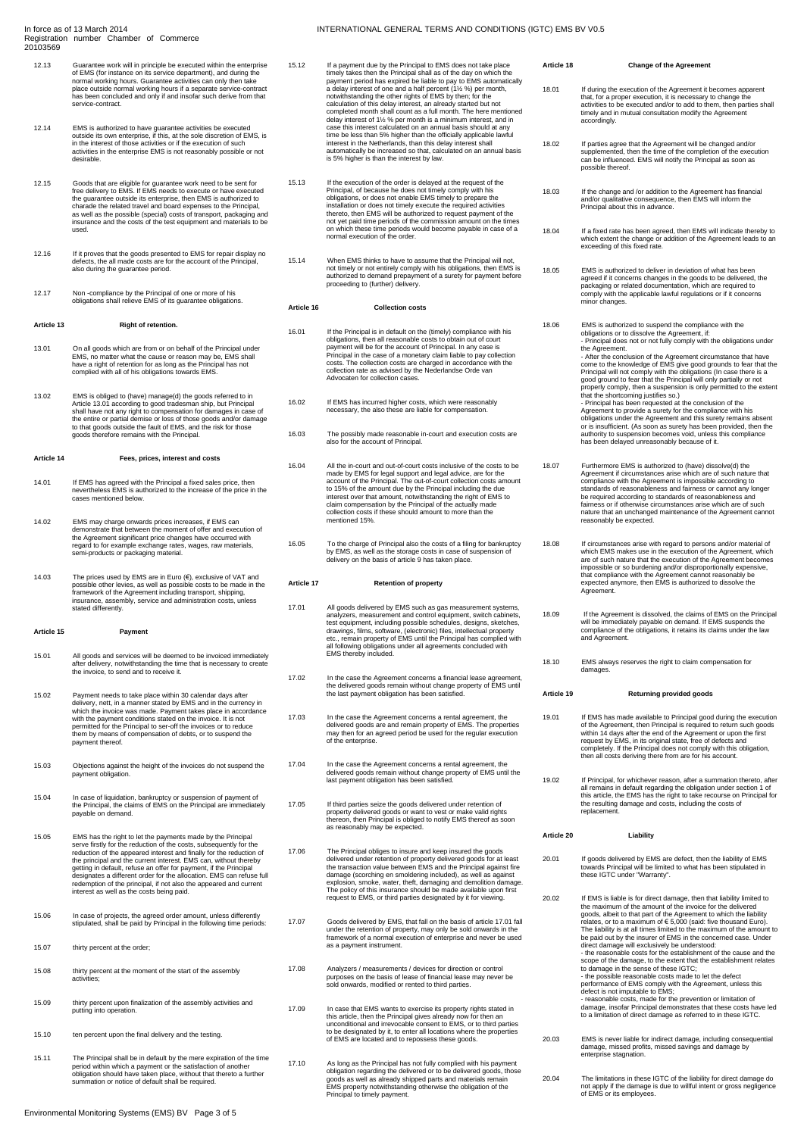#### In force as of 13 March 2014 Registration number Chamber of Commerce 20103569

- 12.13 Guarantee work will in principle be executed within the enterprise of EMS (for instance on its service department), and during the normal working hours. Guarantee activities can only then take place outside normal working hours if a separate service-contract has been concluded and only if and insofar such derive from that service-contract.
- 12.14 EMS is authorized to have guarantee activities be executed<br>outside its own enterprise, if this, at the sole discretion of EMS, is<br>in the interest of those activities or if the execution of such<br>activities in the ente
- 12.15 Goods that are eligible for guarantee work need to be sent for free delivery to EMS. If EMS needs to execute or have executed the guarantee outside its enterprise, then EMS is authorized to charade the related travel and board expenses to the Principal, as well as the possible (special) costs of transport, packaging and insurance and the costs of the test equipment and materials to be used.
- 12.16 If it proves that the goods presented to EMS for repair display no defects, the all made costs are for the account of the Principal, also during the guarantee period.
- 12.17 Non -compliance by the Principal of one or more of his obligations shall relieve EMS of its guarantee obligations.

# **Article 13 Right of retention.**

- 13.01 On all goods which are from or on behalf of the Principal under<br>EMS, no matter what the cause or reason may be, EMS shall<br>have a right of retention for as long as the Principal has not<br>complied with all of his obliga
- 13.02 EMS is obliged to (have) manage(d) the goods referred to in Article 13.01 according to good tradesman ship, but Principal shall have not any right to compensation for damages in case of the entire or partial demise o

# **Article 14 Fees, prices, interest and costs**

- 14.01 If EMS has agreed with the Principal a fixed sales price, then nevertheless EMS is authorized to the increase of the price in the cases mentioned below.
- 14.02 EMS may charge onwards prices increases, if EMS can<br>demonstrate that between the moment of offer and execution of<br>the Agreement significant price changes have occurred with<br>regard to for example exchange rates, wages
- 14.03 The prices used by EMS are in Euro (€), exclusive of VAT and possible other levies, as well as possible costs to be made in the framework of the Agreement including transport, shipping, insurance, assembly, service and administration costs, unless stated differently.

# **Article 15 Payment**

- 15.01 All goods and services will be deemed to be invoiced immediately after delivery, notwithstanding the time that is necessary to create the invoice, to send and to receive it.
- 15.02 Payment needs to take place within 30 calendar days after<br>delivery, nett, in a manner stated by EMS and in the currency in<br>which the invoice was made. Payment takes place in accordance<br>with the payment conditions sta
- 15.03 Objections against the height of the invoices do not suspend the payment obligation.
- 15.04 In case of liquidation, bankruptcy or suspension of payment of the Principal, the claims of EMS on the Principal are immediately payable on demand.
- 15.05 EMS has the right to let the payments made by the Principal<br>serve firstly for the reduction of the costs, subsequently for the<br>reduction of the appeared interest and finally for the reduction of<br>the principal and the redemption of the principal, if not also the appeared and current interest as well as the costs being paid.
- 15.06 In case of projects, the agreed order amount, unless differently stipulated, shall be paid by Principal in the following time periods:
- 15.07 thirty percent at the order;
- 15.08 thirty percent at the moment of the start of the assembly activities;
- 15.09 thirty percent upon finalization of the assembly activities and putting into operation.
- 15.10 ten percent upon the final delivery and the testing.
- 15.11 The Principal shall be in default by the mere expiration of the time period within which a payment or the satisfaction of another obligation should have taken place, without that thereto a further summation or notice of default shall be required.
- 15.12 If a payment due by the Principal to EMS does not take place timely takes then the Principal shall as of the day on which the<br>payment period has expired be liable to pay to EMS automatically<br>a delay interest of one and a half percent (1% %) per month,<br>notwithstanding the other right completed month shall count as a full month. The here mentioned delay interest of 1½ % per month is a minimum interest, and in case this interest calculated on an annual basis should at any time be less than 5% higher than the officially applicable lawful<br>interest in the Netherlands, than this delay interest shall<br>automatically be increased so that, calculated on an annual basis<br>is 5% higher is than the inter
- 15.13 If the execution of the order is delayed at the request of the Principal, of because he does not timely comply with his<br>obligations, or does not enable EMS timely to prepare the<br>installation or does not timely execute the required activities<br>thereto, then EMS will be authorized to req on which these time periods would become payable in case of a normal execution of the order.
- 15.14 When EMS thinks to have to assume that the Principal will not, not timely or not entirely comply with his obligations, then EMS is authorized to demand prepayment of a surety for payment before proceeding to (further) delivery.

# **Article 16 Collection costs**

- 16.01 If the Principal is in default on the (timely) compliance with his<br>poliglations, then all reasonable costs to obtain out of court<br>payment will be for the account of Principal. In any case is<br>Principal in the case of
- 16.02 If EMS has incurred higher costs, which were reasonably necessary, the also these are liable for compensation.
- 16.03 The possibly made reasonable in-court and execution costs are also for the account of Principal.
- All the in-court and out-of-court costs inclusive of the costs to be<br>made by EMS for legal support and legal advice, are for the<br>account of the Principal. The out-of-court collection costs amount<br>to 15% of the amount due b mentioned 15%.
- 16.05 To the charge of Principal also the costs of a filing for bankruptcy by EMS, as well as the storage costs in case of suspension of delivery on the basis of article 9 has taken place.

# **Article 17 Retention of property**

- 17.01 All goods delivered by EMS such as gas measurement stystems, analyzers, measurement and control equipment, switch cabinets, test equipment, including possible schedules, designs, sketches, drawings, films, software,
- 17.02 In the case the Agreement concerns a financial lease agreement, the delivered goods remain without change property of EMS until the last payment obligation has been satisfied.
- 17.03 In the case the Agreement concerns a rental agreement, the delivered goods are and remain property of EMS. The properties may then for an agreed period be used for the regular execution of the enterprise.
- 17.04 In the case the Agreement concerns a rental agreement, the delivered goods remain without change property of EMS until the last payment obligation has been satisfied.
- 17.05 If third parties seize the goods delivered under retention of property delivered goods or want to vest or make valid rights thereon, then Principal is obliged to notify EMS thereof as soon as reasonably may be expected.
- 17.06 The Principal obliges to insure and keep insured the goods<br>delivered under retention of property delivered goods for at least<br>the transaction value between EMS and the Principal against fire<br>damage (scorching en smol
- 17.07 Goods delivered by EMS, that fall on the basis of article 17.01 fall under the retention of property, may only be sold onwards in the framework of a normal execution of enterprise and never be used as a payment instrument.
- 17.08 Analyzers / measurements / devices for direction or control purposes on the basis of lease of financial lease may never be sold onwards, modified or rented to third parties.
- 17.09 In case that EMS wants to exercise its property rights stated in<br>this article, then the Principal gives already now for then an<br>unconditional and irrevocable consent to EMS, or to third parties<br>to be designated by it of EMS are located and to repossess these goods.
- 17.10 As long as the Principal has not fully complied with his payment<br>cololigation regarding the delivered or to be delivered goods, those<br>goods as well as already shipped parts and materials remain<br>EMS property notwithst Principal to timely payment.

18.01 If during the execution of the Agreement it becomes apparent<br>that, for a proper execution, it is necessary to change the<br>activities to be executed and/or to add to them, then parties shall timely and in mutual consultation modify the Agreement accordingly.

**Article 18 Change of the Agreement**

- 18.02 If parties agree that the Agreement will be changed and/or<br>supplemented, then the time of the completion of the executior<br>can be influenced. EMS will notify the Principal as soon as<br>possible thereof.
- 18.03 If the change and /or addition to the Agreement has financial<br>
and/or qualitative consequence, then EMS will inform the<br>
Principal about this in advance.
- 18.04 If a fixed rate has been agreed, then EMS will indicate thereby to which extent the change or addition of the Agreement leads to an exceeding of this fixed rate.
- 18.05 EMS is authorized to deliver in deviation of what has been agreed if it concerns changes in the goods to be delivered, the packaging or related documentation, which are required to comply with the applicable lawful regulations or if it concerns comply with the<br>minor changes.
- 18.06 EMS is authorized to suspend the compliance with the<br>conjuging to the discover the Agreement, if:<br>- Principal does not or not fully comply with the obligations under<br>the Agreement or of the Agreement circumstance tha Agreement to provide a surety for the compliance with his<br>obligations under the Agreement and this surety remains absent<br>or is insufficient. (As soon as surety has been provided, then the<br>authority to suspension becomes vo
- 18.07 Furthermore EMS is authorized to (have) dissolve(d) the<br>Agreement if circumstances arise which are of such nature that<br>compliance with the Agreement is impossible according to<br>standards of reasonableness and fairness be required according to standards of reasonableness and fairness or if otherwise circumstances arise which are of such nature that an unchanged maintenance of the Agreement cannot reasonably be expected.
- 18.08 If circumstances arise with regard to persons and/or material of<br>which EMS makes use in the execution of the Agreement, which<br>are of such nature that the execution of the Agreement becomes<br>impossible or so burdening
- 18.09 If the Agreement is dissolved, the claims of EMS on the Principal will be immediately payable on demand. If EMS suspends the compliance of the obligations, it retains its claims under the law and Agreement.
- 18.10 EMS always reserves the right to claim compensation for damages.

#### **Article 19 Returning provided goods**

- 19.01 If EMS has made available to Principal good during the execution of the Agreement, then Principal is required to return such goods within 14 days after the end of the Agreement or upon the first<br>request by EMS, in its original state, free of defects and<br>completely. If the Principal does not comply with this obligation,<br>then all costs deriving there fr
- 19.02 If Principal, for whichever reason, after a summation thereto, after all remains in default regarding the obligation under section 1 of this article, the EMS has the right to take recourse on Principal for the result

#### **Article 20 Liability**

- 20.01 If goods delivered by EMS are defect, then the liability of EMS towards Principal will be limited to what has been stipulated in these IGTC under "Warranty".
- 20.02 If EMS is liable is for direct damage, then that liability limited to the maximum of the amount of the invoice for the delivered goods, albeit to that part of the Agreement to which the liability<br>relates, or to a maximum of € 5,000 (said: five thousand Euro).<br>The liability is at all times limited to the maximum of the amount to<br>be paid out by the i direct damage will exclusively be understood:<br>  $\pm$  the reasonable costs for the establishment of the cause and the<br>
scope of the damage, to the extent that the establishment relates<br>
to damage in the sense of these IGTC;<br> 20.03 EMS is never liable for indirect damage, including consequential
	- damage, missed profits, missed savings and damage by enterprise stagnation.
- 20.04 The limitations in these IGTC of the liability for direct damage do not apply if the damage is due to willful intent or gross negligence of EMS or its employees.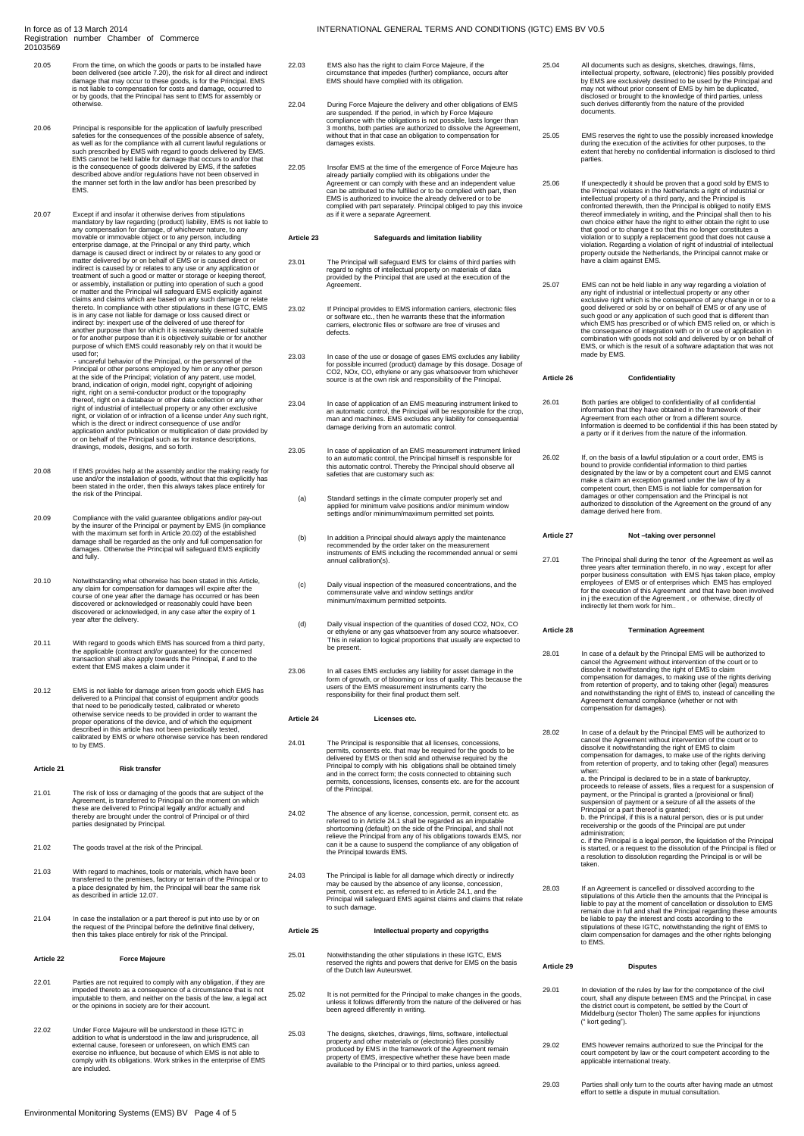#### In force as of 13 March 2014 Registration number Chamber of Commerce 20103569

- 20.05 From the time, on which the goods or parts to be installed have been delivered (see article 7.20), the risk for all direct and indirect damage that may occur to these goods, is for the Principal. EMS is not liable to compensation for costs and damage, occurred to or by goods, that the Principal has sent to EMS for assembly or otherwise.
- 20.06 Principal is responsible for the application of lawfully prescribed<br>safeties for the consequences of the possible absence of safety,<br>as well as for the compliance with all current lawful regulations or<br>such prescribe
- 20.07 Except if and insolar it to thewise derives from stipulations<br>mandatory by law regarding (product) liability, EMS is not liable to<br>any compensation for damage, of whichever nature, to any<br>movable or immovable objects or for another purpose than it is objectively suitable or for another purpose of which EMS could reasonably rely on that it would be used for;<br>- uncareful behavior of the Principal, or the personnel of the

- uncareful behavior of the Principal, or the personnel of the person<br>Principal or other persons employed by him or any other person<br>at the side of the Principal; violation of any patent, use model,<br>brand, indication of or

- 20.08 If EMS provides help at the assembly and/or the making ready for use and/or the installation of goods, without that this explicitly has been stated in the order, then this always takes place entirely for the risk of the Principal.
- 20.09 Compliance with the valid guarantee obligations and/or pay-out<br>by the insurer of the Principal or payment by EMS (in compliance<br>with the maximum set forth in Article 20.02) of the established<br>damage shall be regarded
- 20.10 Notwithstanding what otherwise has been stated in this Article<br>any claim for compensation for damages will expire after the<br>course of one year after the damage has occurred or has been<br>discovered or acknowledged or r year after the delivery.
- 20.11 With regard to goods which EMS has sourced from a third party,<br>the applicable (contract and/or guarantee) for the concerned<br>transaction shall also apply towards the Principal, if and to the<br>extent that EMS makes a cl
- 20.12 EMS is not liable for damage arisen from goods which EMS has delivered to a Principal that consist of equipment and/or goods<br>that need to be periodically tested, calibrated or whereto<br>otherwise service needs to be provided in order to warrant the<br>proper operations of the device, and **Comprated I**<br>to by EMS.

#### **Article 21 Risk transfer**

- 21.01 The risk of loss or damaging of the goods that are subject of the Agreement, is transferred to Principal on the moment on which these are delivered to Principal legally and/or actually and thereby are brought under the control of Principal or of third parties designated by Principal.
- 21.02 The goods travel at the risk of the Principal.
- 21.03 With regard to machines, tools or materials, which have been transferred to the premises, factory or terrain of the Principal or to a place designated by him, the Principal will bear the same risk as described in article 12.07.
- 21.04 In case the installation or a part thereof is put into use by or on the request of the Principal before the definitive final delivery, then this takes place entirely for risk of the Principal.

#### **Article 22 Force Majeure**

- 22.01 Parties are not required to comply with any obligation, if they are impeded thereto as a consequence of a circumstance that is not imputable to them, and neither on the basis of the law, a legal act or the opinions in society are for their account.
- 22.02 Under Force Majeure will be understood in these IGTC in addition to what is understood in the law and jurisprudence, all external cause, foreseen or unforeseen, on which EMS can exercise no influence, but because of
- 22.03 EMS also has the right to claim Force Majeure, if the circumstance that impedes (further) compliance, occurs after EMS should have complied with its obligation.
- 22.04 During Force Majeure the delivery and other obligations of EMS<br>are suspended. If the period, in which by Force Majeure<br>compliance with the obligations is not possible, lasts longer than<br>3 months, both parties are aut
- 22.05 Insofar EMS at the time of the emergence of Force Majeure has already partially complied with its obligations under the<br>Agreement or can comply with these and an independent value<br>can be attributed to the fulfilled or to be complied with part, then<br>EMS is authorized to invoice the al complied with part separately. Principal obliged to pay this invoice as if it were a separate Agreement.

# **Article 23 Safeguards and limitation liability**

- 23.01 The Principal will safeguard EMS for claims of third parties with regard to rights of intellectual property on materials of data provided by the Principal that are used at the execution of the Agreement.
- 23.02 If Principal provides to EMS information carriers, electronic files or software etc., then he warrants these that the information carriers, electronic files or software are free of viruses and defects.
- 23.03 In case of the use or dosage of gases EMS excludes any liability<br>for possible incurred (product) damage by this dosage. Dosage of<br>CO2, NOx, CO, ethylene or any gas whatsoever from whichever<br>source is at the own risk
- 23.04 In case of application of an EMS measuring instrument linked to<br>an automatic control, the Principal will be responsible for the crop,<br>man and machines. EMS excludes any liability for consequential<br>damage deriving fro
- 23.05 In case of application of an EMS measurement instrument linked<br>to an automatic control, the Principal himself is responsible for<br>this automatic control. Thereby the Principal should observe all<br>safeties that are cust
- (a) Standard settings in the climate computer properly set and applied for minimum valve positions and/or minimum window settings and/or minimum/maximum permitted set points.
- (b) In addition a Principal should always apply the maintenance recommended by the order taker on the measurement instruments of EMS including the recommended annual or semi annual calibration(s).
- (c) Daily visual inspection of the measured concentrations, and the commensurate valve and window settings and/or minimum/maximum permitted setpoints.
- (d) Daily visual inspection of the quantities of dosed CO2, NOx, CO or ethylene or any gas whatsoever from any source whatsoever. This in relation to logical proportions that usually are expected to be present
- 23.06 In all cases EMS excludes any liability for asset damage in the form of growth, or of blooming or loss of quality. This because the users of the EMS measurement instruments carry the responsibility for their final product them self.

# **Article 24 Licenses etc.**

- 24.01 The Principal is responsible that all licenses, concessions, constrainting the permits, consents etc. that may be required for the goods to be delivered by EMS or then sold and otherwise required by the Principal to
- 24.02 The absence of any license, concession, permit, consent etc. as<br>referred to in Article 24.1 shall be regarded as an imputable<br>shortcoming (default) on the side of the Principal, and shall not<br>relieve the Principal fr
- 24.03 The Principal is liable for all damage which directly or indirectly may be caused by the absence of any license, concession, permit, consent etc. as referred to in Article 24.1, and the Principal will safeguard EMS against claims and claims that relate to such damage.

#### **Article 25 Intellectual property and copyrigths**

- 25.01 Notwithstanding the other stipulations in these IGTC, EMS reserved the rights and powers that derive for EMS on the basis of the Dutch law Auteurswet.
- 25.02 It is not permitted for the Principal to make changes in the goods, unless it follows differently from the nature of the delivered or has been agreed differently in writing.
- 25.03 The designs, sketches, drawings, films, software, intellectual<br>property and other materials or (electronic) files possibly<br>produced by EMS in the framework of the Agreement remain<br>property of EMS, irrespective whethe
- 25.04 All documents such as designs, sketches, drawings, films, intellectual property, software, (electronic) files possibly provided by EMS are exclusively destined to be used by the Principal and may not without prior consent of EMS by him be duplicated, disclosed or brought to the knowledge of third parties, unless such derives differently from the nature of the provided documents.
- 25.05 EMS reserves the right to use the possibly increased knowledge during the execution of the activities for other purposes, to the extent that hereby no confidential information is disclosed to third parties.
- 25.06 If unexpectedly it should be proven that a good sold by EMS to<br>the Principal violates in the Netherlands a right of industrial or<br>intellectual property of a third party, and the Principal is<br>confronted therewith, the property outside the Nether<br>have a claim against EMS.
- 25.07 EMS can not be held liable in any way regarding a violation of any right of industrial or intellectual property or any other<br>exclusive right which is the consequence of any change in or to a<br>good delivered or sold by or on behalf of EMS or of any use of<br>such good or any application of the consequence of integration with or in or use of application in combination with goods not sold and delivered by or on behalf of EMS, or which is the result of a software adaptation that was not made by EMS.

#### **Article 26 Confidentiality**

- 26.01 Both parties are obliged to confidentiality of all confidential information that they have obtained in the framework of their Agreement from each other or from a different source. Information is deemed to be confidential if this has been stated by a party or if it derives from the nature of the information.
- 26.02 If, on the basis of a lawful stipulation or a court order, EMS is<br>bound to provide confideratial information to third parties<br>designated by the law or by a competent court and EMS cannot<br>make a claim an exception gra

#### **Article 27 Not –taking over personnel**

27.01 The Principal shall during the tenor of the Agreement as well as<br>three years after termination thereto, in no way , except for after<br>proper business consultation with EMS hjas taken place, employ<br>employees of EMS or

### **Article 28 Termination Agreement**

- 28.01 In case of a default by the Principal EMS will be authorized to<br>cancel the Agreement without intervention of the court or to<br>dissolve it notwithstanding the right of EMS to claim<br>compensation for damages, to making u
- 28.02 In case of a default by the Principal EMS will be authorized to cancel the Agreement without intervention of the court or to dissolve it notwithstanding the right of EMS to claim compensation for damages, to make use of the rights deriving from retention of property, and to taking other (legal) measures when:<br>a. the Principal is declared to be in a state of bankruptcy.

a. the Principal is declared to be in a state of bankruptcy,<br>proceeds to release of assets, files a request for a suspension of<br>payment, or the Principal is granted a (provisional or final)<br>suspension of payment or a seizu

28.03 If an Agreement is cancelled or dissolved according to the stipulations of this Article then the amounts that the Principal is liable to pay at the moment of cancellation or dissolution to EMS remain due in full and

# **Article 29 Disputes**

- 29.01 In deviation of the rules by law for the competence of the civil<br>court, shall any dispute between EMS and the Principal, in case<br>the district court is competent, be settled by the Court of<br>Middelburg (sector Tholen)
- 29.02 EMS however remains authorized to sue the Principal for the court competent by law or the court competent according to the applicable international treaty.
- 29.03 Parties shall only turn to the courts after having made an utmost effort to settle a dispute in mutual consultation.